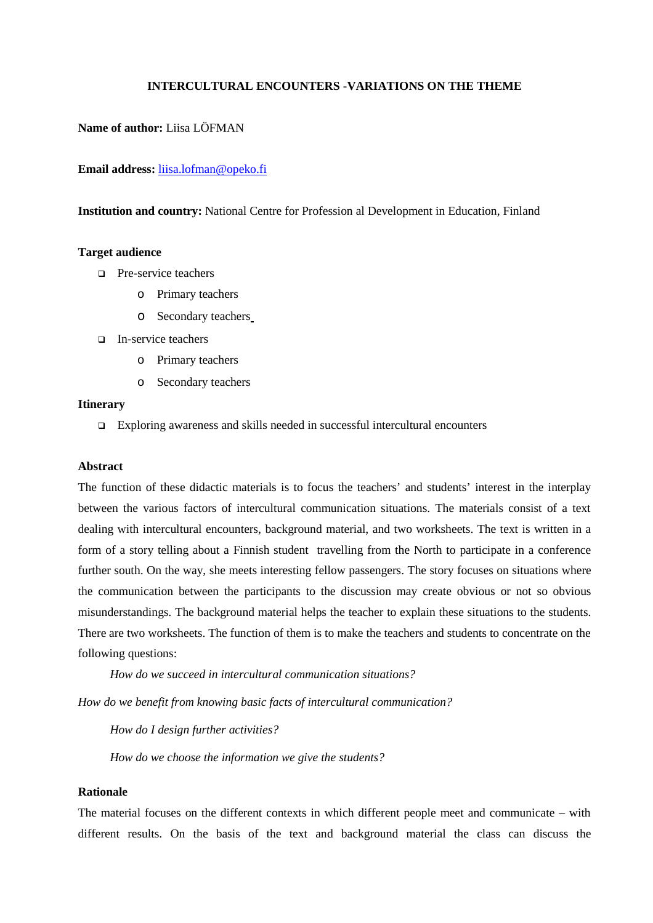#### **INTERCULTURAL ENCOUNTERS -VARIATIONS ON THE THEME**

# **Name of author:** Liisa LÖFMAN

#### **Email address:** liisa.lofman@opeko.fi

#### **Institution and country:** National Centre for Profession al Development in Education, Finland

#### **Target audience**

- **Pre-service teachers** 
	- o Primary teachers
	- o Secondary teachers
- In-service teachers
	- o Primary teachers
	- o Secondary teachers

### **Itinerary**

Exploring awareness and skills needed in successful intercultural encounters

#### **Abstract**

The function of these didactic materials is to focus the teachers' and students' interest in the interplay between the various factors of intercultural communication situations. The materials consist of a text dealing with intercultural encounters, background material, and two worksheets. The text is written in a form of a story telling about a Finnish student travelling from the North to participate in a conference further south. On the way, she meets interesting fellow passengers. The story focuses on situations where the communication between the participants to the discussion may create obvious or not so obvious misunderstandings. The background material helps the teacher to explain these situations to the students. There are two worksheets. The function of them is to make the teachers and students to concentrate on the following questions:

*How do we succeed in intercultural communication situations?*

*How do we benefit from knowing basic facts of intercultural communication?*

*How do I design further activities?*

*How do we choose the information we give the students?*

### **Rationale**

The material focuses on the different contexts in which different people meet and communicate – with different results. On the basis of the text and background material the class can discuss the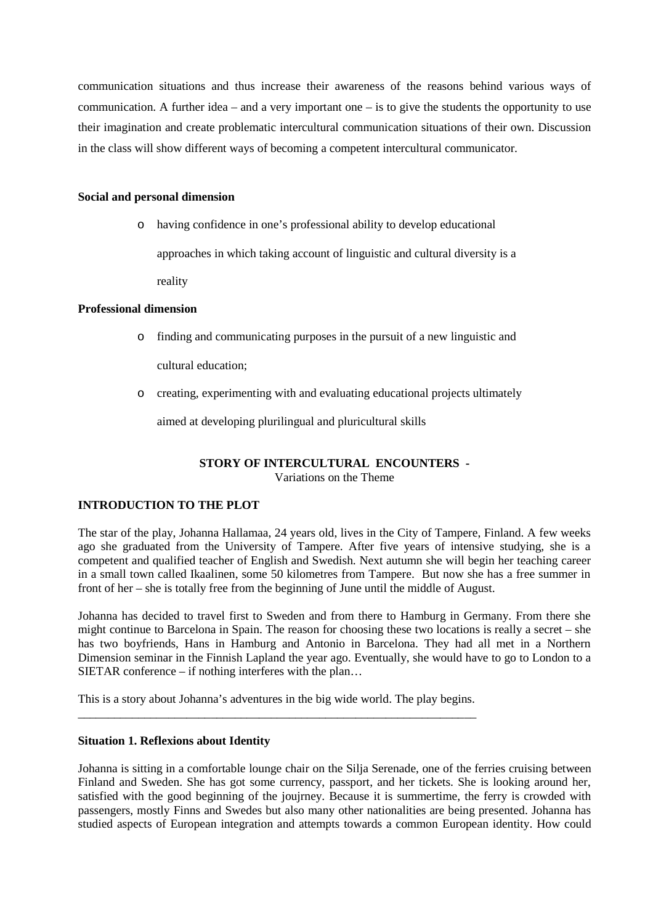communication situations and thus increase their awareness of the reasons behind various ways of communication. A further idea – and a very important one – is to give the students the opportunity to use their imagination and create problematic intercultural communication situations of their own. Discussion in the class will show different ways of becoming a competent intercultural communicator.

#### **Social and personal dimension**

o having confidence in one's professional ability to develop educational

approaches in which taking account of linguistic and cultural diversity is a

reality

### **Professional dimension**

o finding and communicating purposes in the pursuit of a new linguistic and

cultural education;

o creating, experimenting with and evaluating educational projects ultimately

aimed at developing plurilingual and pluricultural skills

#### **STORY OF INTERCULTURAL ENCOUNTERS -** Variations on the Theme

### **INTRODUCTION TO THE PLOT**

The star of the play, Johanna Hallamaa, 24 years old, lives in the City of Tampere, Finland. A few weeks ago she graduated from the University of Tampere. After five years of intensive studying, she is a competent and qualified teacher of English and Swedish. Next autumn she will begin her teaching career in a small town called Ikaalinen, some 50 kilometres from Tampere. But now she has a free summer in front of her – she is totally free from the beginning of June until the middle of August.

Johanna has decided to travel first to Sweden and from there to Hamburg in Germany. From there she might continue to Barcelona in Spain. The reason for choosing these two locations is really a secret – she has two boyfriends, Hans in Hamburg and Antonio in Barcelona. They had all met in a Northern Dimension seminar in the Finnish Lapland the year ago. Eventually, she would have to go to London to a SIETAR conference – if nothing interferes with the plan…

This is a story about Johanna's adventures in the big wide world. The play begins. \_\_\_\_\_\_\_\_\_\_\_\_\_\_\_\_\_\_\_\_\_\_\_\_\_\_\_\_\_\_\_\_\_\_\_\_\_\_\_\_\_\_\_\_\_\_\_\_\_\_\_\_\_\_\_\_\_\_\_\_\_\_\_\_\_\_

#### **Situation 1. Reflexions about Identity**

Johanna is sitting in a comfortable lounge chair on the Silja Serenade, one of the ferries cruising between Finland and Sweden. She has got some currency, passport, and her tickets. She is looking around her, satisfied with the good beginning of the joujrney. Because it is summertime, the ferry is crowded with passengers, mostly Finns and Swedes but also many other nationalities are being presented. Johanna has studied aspects of European integration and attempts towards a common European identity. How could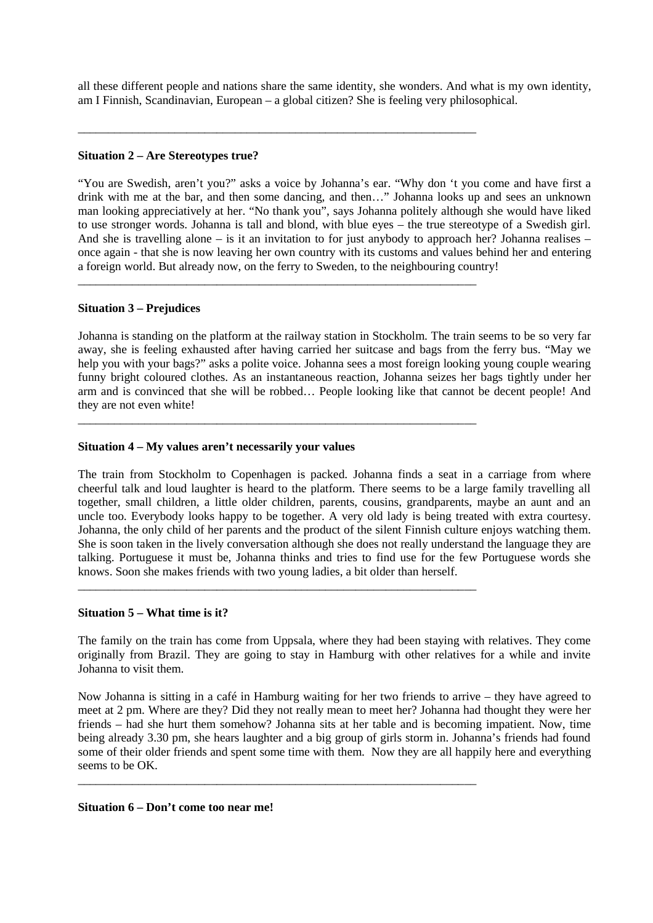all these different people and nations share the same identity, she wonders. And what is my own identity, am I Finnish, Scandinavian, European – a global citizen? She is feeling very philosophical.

\_\_\_\_\_\_\_\_\_\_\_\_\_\_\_\_\_\_\_\_\_\_\_\_\_\_\_\_\_\_\_\_\_\_\_\_\_\_\_\_\_\_\_\_\_\_\_\_\_\_\_\_\_\_\_\_\_\_\_\_\_\_\_\_\_\_

\_\_\_\_\_\_\_\_\_\_\_\_\_\_\_\_\_\_\_\_\_\_\_\_\_\_\_\_\_\_\_\_\_\_\_\_\_\_\_\_\_\_\_\_\_\_\_\_\_\_\_\_\_\_\_\_\_\_\_\_\_\_\_\_\_\_

\_\_\_\_\_\_\_\_\_\_\_\_\_\_\_\_\_\_\_\_\_\_\_\_\_\_\_\_\_\_\_\_\_\_\_\_\_\_\_\_\_\_\_\_\_\_\_\_\_\_\_\_\_\_\_\_\_\_\_\_\_\_\_\_\_\_

\_\_\_\_\_\_\_\_\_\_\_\_\_\_\_\_\_\_\_\_\_\_\_\_\_\_\_\_\_\_\_\_\_\_\_\_\_\_\_\_\_\_\_\_\_\_\_\_\_\_\_\_\_\_\_\_\_\_\_\_\_\_\_\_\_\_

\_\_\_\_\_\_\_\_\_\_\_\_\_\_\_\_\_\_\_\_\_\_\_\_\_\_\_\_\_\_\_\_\_\_\_\_\_\_\_\_\_\_\_\_\_\_\_\_\_\_\_\_\_\_\_\_\_\_\_\_\_\_\_\_\_\_

### **Situation 2 – Are Stereotypes true?**

"You are Swedish, aren't you?" asks a voice by Johanna's ear. "Why don 't you come and have first a drink with me at the bar, and then some dancing, and then…" Johanna looks up and sees an unknown man looking appreciatively at her. "No thank you", says Johanna politely although she would have liked to use stronger words. Johanna is tall and blond, with blue eyes – the true stereotype of a Swedish girl. And she is travelling alone – is it an invitation to for just anybody to approach her? Johanna realises – once again - that she is now leaving her own country with its customs and values behind her and entering a foreign world. But already now, on the ferry to Sweden, to the neighbouring country!

#### **Situation 3 – Prejudices**

Johanna is standing on the platform at the railway station in Stockholm. The train seems to be so very far away, she is feeling exhausted after having carried her suitcase and bags from the ferry bus. "May we help you with your bags?" asks a polite voice. Johanna sees a most foreign looking young couple wearing funny bright coloured clothes. As an instantaneous reaction, Johanna seizes her bags tightly under her arm and is convinced that she will be robbed… People looking like that cannot be decent people! And they are not even white!

#### **Situation 4 – My values aren't necessarily your values**

The train from Stockholm to Copenhagen is packed. Johanna finds a seat in a carriage from where cheerful talk and loud laughter is heard to the platform. There seems to be a large family travelling all together, small children, a little older children, parents, cousins, grandparents, maybe an aunt and an uncle too. Everybody looks happy to be together. A very old lady is being treated with extra courtesy. Johanna, the only child of her parents and the product of the silent Finnish culture enjoys watching them. She is soon taken in the lively conversation although she does not really understand the language they are talking. Portuguese it must be, Johanna thinks and tries to find use for the few Portuguese words she knows. Soon she makes friends with two young ladies, a bit older than herself.

#### **Situation 5 – What time is it?**

The family on the train has come from Uppsala, where they had been staying with relatives. They come originally from Brazil. They are going to stay in Hamburg with other relatives for a while and invite Johanna to visit them.

Now Johanna is sitting in a café in Hamburg waiting for her two friends to arrive – they have agreed to meet at 2 pm. Where are they? Did they not really mean to meet her? Johanna had thought they were her friends – had she hurt them somehow? Johanna sits at her table and is becoming impatient. Now, time being already 3.30 pm, she hears laughter and a big group of girls storm in. Johanna's friends had found some of their older friends and spent some time with them. Now they are all happily here and everything seems to be OK.

#### **Situation 6 – Don't come too near me!**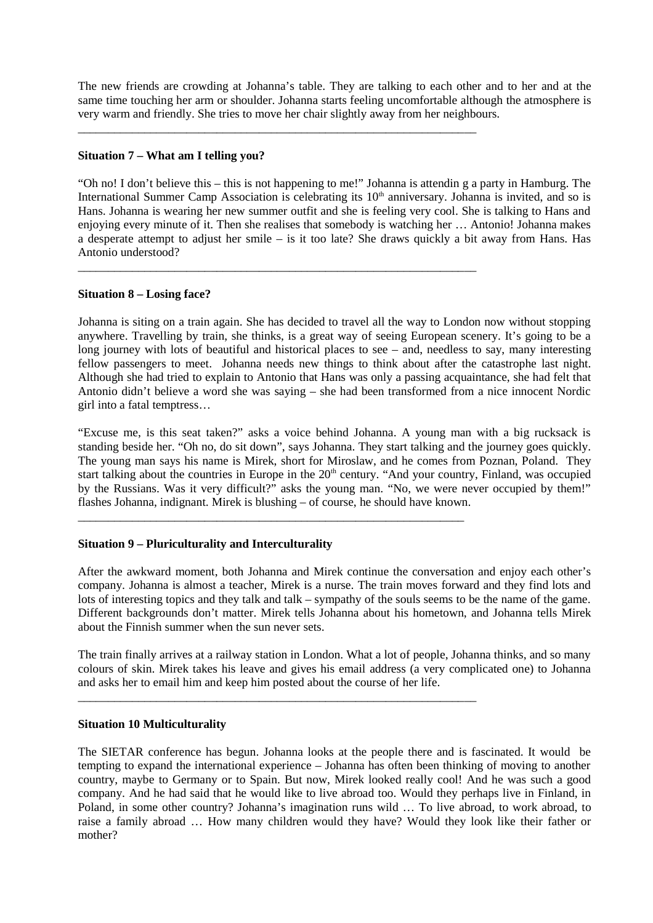The new friends are crowding at Johanna's table. They are talking to each other and to her and at the same time touching her arm or shoulder. Johanna starts feeling uncomfortable although the atmosphere is very warm and friendly. She tries to move her chair slightly away from her neighbours.

\_\_\_\_\_\_\_\_\_\_\_\_\_\_\_\_\_\_\_\_\_\_\_\_\_\_\_\_\_\_\_\_\_\_\_\_\_\_\_\_\_\_\_\_\_\_\_\_\_\_\_\_\_\_\_\_\_\_\_\_\_\_\_\_\_\_

\_\_\_\_\_\_\_\_\_\_\_\_\_\_\_\_\_\_\_\_\_\_\_\_\_\_\_\_\_\_\_\_\_\_\_\_\_\_\_\_\_\_\_\_\_\_\_\_\_\_\_\_\_\_\_\_\_\_\_\_\_\_\_\_\_\_

\_\_\_\_\_\_\_\_\_\_\_\_\_\_\_\_\_\_\_\_\_\_\_\_\_\_\_\_\_\_\_\_\_\_\_\_\_\_\_\_\_\_\_\_\_\_\_\_\_\_\_\_\_\_\_\_\_\_\_\_\_\_\_\_

\_\_\_\_\_\_\_\_\_\_\_\_\_\_\_\_\_\_\_\_\_\_\_\_\_\_\_\_\_\_\_\_\_\_\_\_\_\_\_\_\_\_\_\_\_\_\_\_\_\_\_\_\_\_\_\_\_\_\_\_\_\_\_\_\_\_

### **Situation 7 – What am I telling you?**

"Oh no! I don't believe this – this is not happening to me!" Johanna is attendin g a party in Hamburg. The International Summer Camp Association is celebrating its  $10<sup>th</sup>$  anniversary. Johanna is invited, and so is Hans. Johanna is wearing her new summer outfit and she is feeling very cool. She is talking to Hans and enjoying every minute of it. Then she realises that somebody is watching her … Antonio! Johanna makes a desperate attempt to adjust her smile – is it too late? She draws quickly a bit away from Hans. Has Antonio understood?

### **Situation 8 – Losing face?**

Johanna is siting on a train again. She has decided to travel all the way to London now without stopping anywhere. Travelling by train, she thinks, is a great way of seeing European scenery. It's going to be a long journey with lots of beautiful and historical places to see – and, needless to say, many interesting fellow passengers to meet. Johanna needs new things to think about after the catastrophe last night. Although she had tried to explain to Antonio that Hans was only a passing acquaintance, she had felt that Antonio didn't believe a word she was saying – she had been transformed from a nice innocent Nordic girl into a fatal temptress…

"Excuse me, is this seat taken?" asks a voice behind Johanna. A young man with a big rucksack is standing beside her. "Oh no, do sit down", says Johanna. They start talking and the journey goes quickly. The young man says his name is Mirek, short for Miroslaw, and he comes from Poznan, Poland. They start talking about the countries in Europe in the 20<sup>th</sup> century. "And your country, Finland, was occupied by the Russians. Was it very difficult?" asks the young man. "No, we were never occupied by them!" flashes Johanna, indignant. Mirek is blushing – of course, he should have known.

### **Situation 9 – Pluriculturality and Interculturality**

After the awkward moment, both Johanna and Mirek continue the conversation and enjoy each other's company. Johanna is almost a teacher, Mirek is a nurse. The train moves forward and they find lots and lots of interesting topics and they talk and talk – sympathy of the souls seems to be the name of the game. Different backgrounds don't matter. Mirek tells Johanna about his hometown, and Johanna tells Mirek about the Finnish summer when the sun never sets.

The train finally arrives at a railway station in London. What a lot of people, Johanna thinks, and so many colours of skin. Mirek takes his leave and gives his email address (a very complicated one) to Johanna and asks her to email him and keep him posted about the course of her life.

### **Situation 10 Multiculturality**

The SIETAR conference has begun. Johanna looks at the people there and is fascinated. It would be tempting to expand the international experience – Johanna has often been thinking of moving to another country, maybe to Germany or to Spain. But now, Mirek looked really cool! And he was such a good company. And he had said that he would like to live abroad too. Would they perhaps live in Finland, in Poland, in some other country? Johanna's imagination runs wild … To live abroad, to work abroad, to raise a family abroad … How many children would they have? Would they look like their father or mother?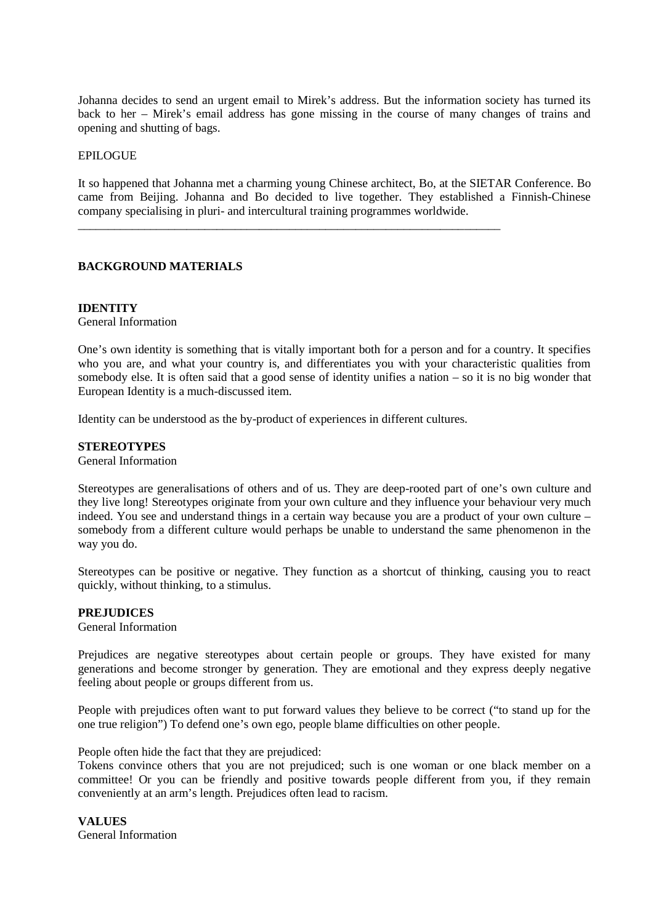Johanna decides to send an urgent email to Mirek's address. But the information society has turned its back to her – Mirek's email address has gone missing in the course of many changes of trains and opening and shutting of bags.

#### EPILOGUE

It so happened that Johanna met a charming young Chinese architect, Bo, at the SIETAR Conference. Bo came from Beijing. Johanna and Bo decided to live together. They established a Finnish-Chinese company specialising in pluri- and intercultural training programmes worldwide.

\_\_\_\_\_\_\_\_\_\_\_\_\_\_\_\_\_\_\_\_\_\_\_\_\_\_\_\_\_\_\_\_\_\_\_\_\_\_\_\_\_\_\_\_\_\_\_\_\_\_\_\_\_\_\_\_\_\_\_\_\_\_\_\_\_\_\_\_\_\_

## **BACKGROUND MATERIALS**

#### **IDENTITY**

General Information

One's own identity is something that is vitally important both for a person and for a country. It specifies who you are, and what your country is, and differentiates you with your characteristic qualities from somebody else. It is often said that a good sense of identity unifies a nation – so it is no big wonder that European Identity is a much-discussed item.

Identity can be understood as the by-product of experiences in different cultures.

#### **STEREOTYPES**

General Information

Stereotypes are generalisations of others and of us. They are deep-rooted part of one's own culture and they live long! Stereotypes originate from your own culture and they influence your behaviour very much indeed. You see and understand things in a certain way because you are a product of your own culture – somebody from a different culture would perhaps be unable to understand the same phenomenon in the way you do.

Stereotypes can be positive or negative. They function as a shortcut of thinking, causing you to react quickly, without thinking, to a stimulus.

#### **PREJUDICES**

General Information

Prejudices are negative stereotypes about certain people or groups. They have existed for many generations and become stronger by generation. They are emotional and they express deeply negative feeling about people or groups different from us.

People with prejudices often want to put forward values they believe to be correct ("to stand up for the one true religion") To defend one's own ego, people blame difficulties on other people.

People often hide the fact that they are prejudiced:

Tokens convince others that you are not prejudiced; such is one woman or one black member on a committee! Or you can be friendly and positive towards people different from you, if they remain conveniently at an arm's length. Prejudices often lead to racism.

**VALUES** General Information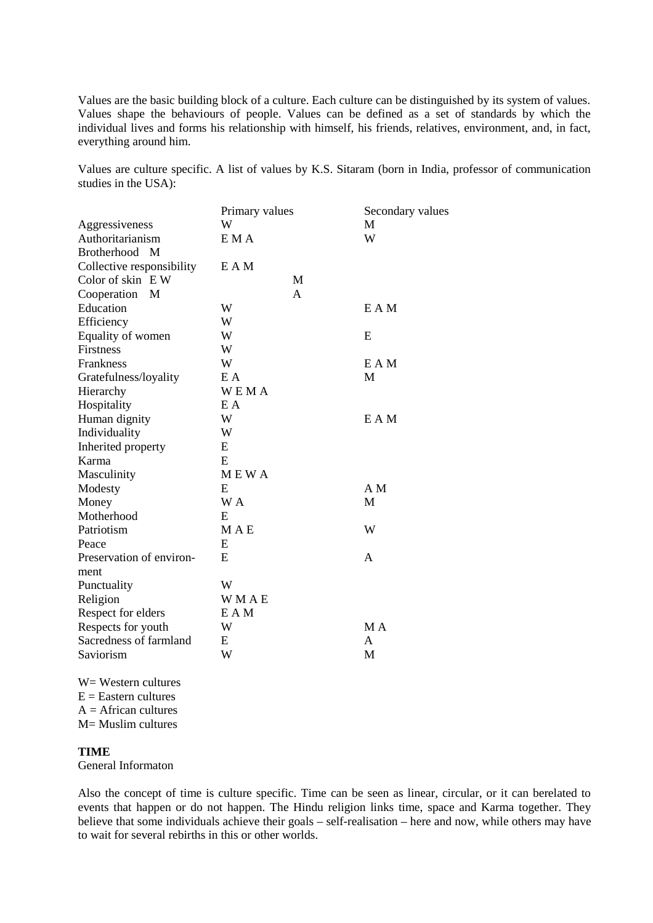Values are the basic building block of a culture. Each culture can be distinguished by its system of values. Values shape the behaviours of people. Values can be defined as a set of standards by which the individual lives and forms his relationship with himself, his friends, relatives, environment, and, in fact, everything around him.

Values are culture specific. A list of values by K.S. Sitaram (born in India, professor of communication studies in the USA):

|                           | Primary values | Secondary values |
|---------------------------|----------------|------------------|
| Aggressiveness            | W              | M                |
| Authoritarianism          | E M A          | W                |
| Brotherhood M             |                |                  |
| Collective responsibility | E A M          |                  |
| Color of skin EW          | M              |                  |
| Cooperation<br>M          | A              |                  |
| Education                 | W              | E A M            |
| Efficiency                | W              |                  |
| Equality of women         | W              | E                |
| <b>Firstness</b>          | W              |                  |
| Frankness                 | W              | E A M            |
| Gratefulness/loyality     | E A            | M                |
| Hierarchy                 | <b>WEMA</b>    |                  |
| Hospitality               | E A            |                  |
| Human dignity             | W              | E A M            |
| Individuality             | W              |                  |
| Inherited property        | E              |                  |
| Karma                     | E.             |                  |
| Masculinity               | <b>MEWA</b>    |                  |
| Modesty                   | E              | A M              |
| Money                     | W A            | M                |
| Motherhood                | E              |                  |
| Patriotism                | <b>MAE</b>     | W                |
| Peace                     | E              |                  |
| Preservation of environ-  | E              | A                |
| ment                      |                |                  |
| Punctuality               | W              |                  |
| Religion                  | <b>WMAE</b>    |                  |
| Respect for elders        | E A M          |                  |
| Respects for youth        | W              | MA               |
| Sacredness of farmland    | E              | A                |
| Saviorism                 | W              | M                |
|                           |                |                  |

W= Western cultures  $E =$ Eastern cultures

 $A =$ African cultures

M= Muslim cultures

# **TIME**

General Informaton

Also the concept of time is culture specific. Time can be seen as linear, circular, or it can berelated to events that happen or do not happen. The Hindu religion links time, space and Karma together. They believe that some individuals achieve their goals – self-realisation – here and now, while others may have to wait for several rebirths in this or other worlds.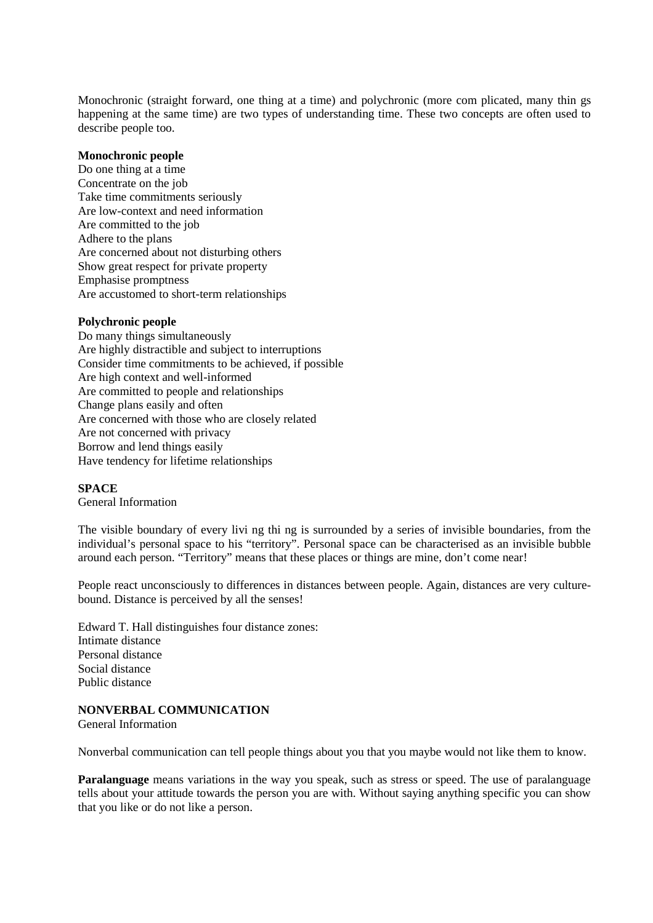Monochronic (straight forward, one thing at a time) and polychronic (more com plicated, many thin gs happening at the same time) are two types of understanding time. These two concepts are often used to describe people too.

#### **Monochronic people**

Do one thing at a time Concentrate on the job Take time commitments seriously Are low-context and need information Are committed to the job Adhere to the plans Are concerned about not disturbing others Show great respect for private property Emphasise promptness Are accustomed to short-term relationships

#### **Polychronic people**

Do many things simultaneously Are highly distractible and subject to interruptions Consider time commitments to be achieved, if possible Are high context and well-informed Are committed to people and relationships Change plans easily and often Are concerned with those who are closely related Are not concerned with privacy Borrow and lend things easily Have tendency for lifetime relationships

#### **SPACE**

General Information

The visible boundary of every livi ng thi ng is surrounded by a series of invisible boundaries, from the individual's personal space to his "territory". Personal space can be characterised as an invisible bubble around each person. "Territory" means that these places or things are mine, don't come near!

People react unconsciously to differences in distances between people. Again, distances are very culturebound. Distance is perceived by all the senses!

Edward T. Hall distinguishes four distance zones: Intimate distance Personal distance Social distance Public distance

### **NONVERBAL COMMUNICATION**

General Information

Nonverbal communication can tell people things about you that you maybe would not like them to know.

**Paralanguage** means variations in the way you speak, such as stress or speed. The use of paralanguage tells about your attitude towards the person you are with. Without saying anything specific you can show that you like or do not like a person.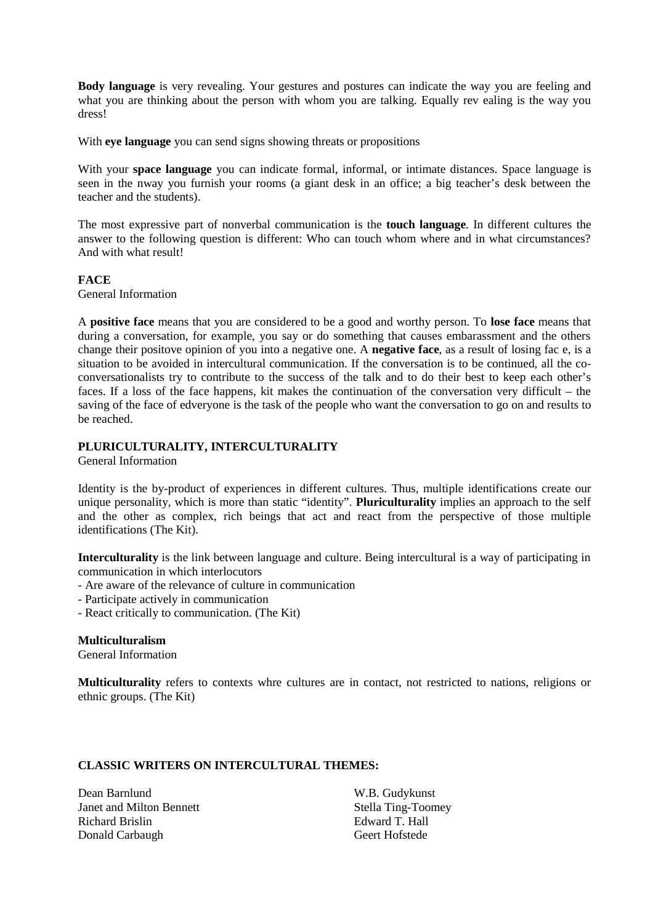**Body language** is very revealing. Your gestures and postures can indicate the way you are feeling and what you are thinking about the person with whom you are talking. Equally rev ealing is the way you dress!

With **eye language** you can send signs showing threats or propositions

With your **space language** you can indicate formal, informal, or intimate distances. Space language is seen in the nway you furnish your rooms (a giant desk in an office; a big teacher's desk between the teacher and the students).

The most expressive part of nonverbal communication is the **touch language**. In different cultures the answer to the following question is different: Who can touch whom where and in what circumstances? And with what result!

# **FACE**

General Information

A **positive face** means that you are considered to be a good and worthy person. To **lose face** means that during a conversation, for example, you say or do something that causes embarassment and the others change their positove opinion of you into a negative one. A **negative face**, as a result of losing fac e, is a situation to be avoided in intercultural communication. If the conversation is to be continued, all the coconversationalists try to contribute to the success of the talk and to do their best to keep each other's faces. If a loss of the face happens, kit makes the continuation of the conversation very difficult – the saving of the face of edveryone is the task of the people who want the conversation to go on and results to be reached.

### **PLURICULTURALITY, INTERCULTURALITY**

General Information

Identity is the by-product of experiences in different cultures. Thus, multiple identifications create our unique personality, which is more than static "identity". **Pluriculturality** implies an approach to the self and the other as complex, rich beings that act and react from the perspective of those multiple identifications (The Kit).

**Interculturality** is the link between language and culture. Being intercultural is a way of participating in communication in which interlocutors

- Are aware of the relevance of culture in communication
- Participate actively in communication
- React critically to communication. (The Kit)

### **Multiculturalism**

General Information

**Multiculturality** refers to contexts whre cultures are in contact, not restricted to nations, religions or ethnic groups. (The Kit)

### **CLASSIC WRITERS ON INTERCULTURAL THEMES:**

Dean Barnlund Janet and Milton Bennett Richard Brislin Donald Carbaugh

W.B. Gudykunst Stella Ting-Toomey Edward T. Hall Geert Hofstede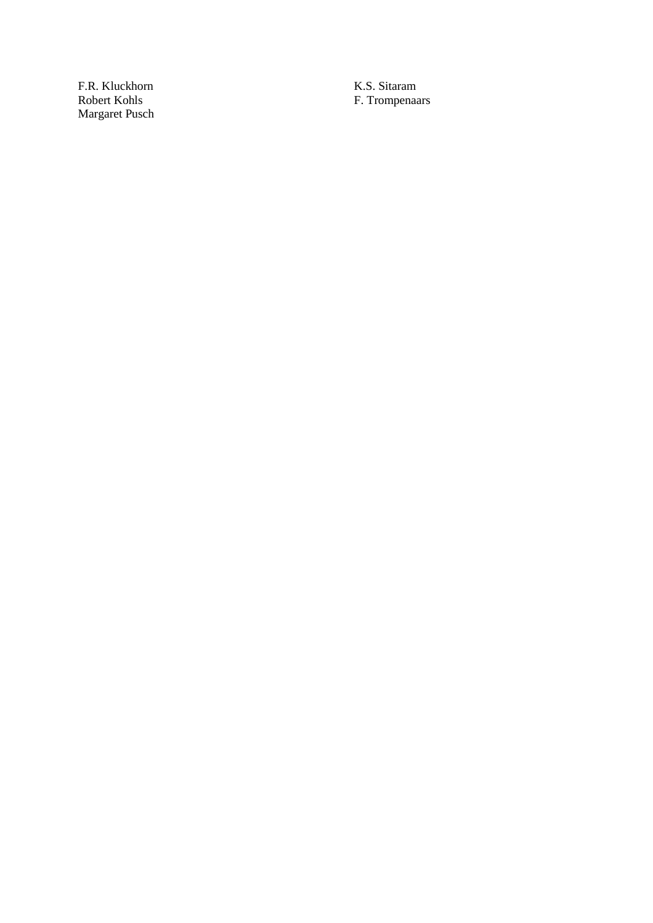F.R. Kluckhorn Robert Kohls Margaret Pusch K.S. Sitaram F. Trompenaars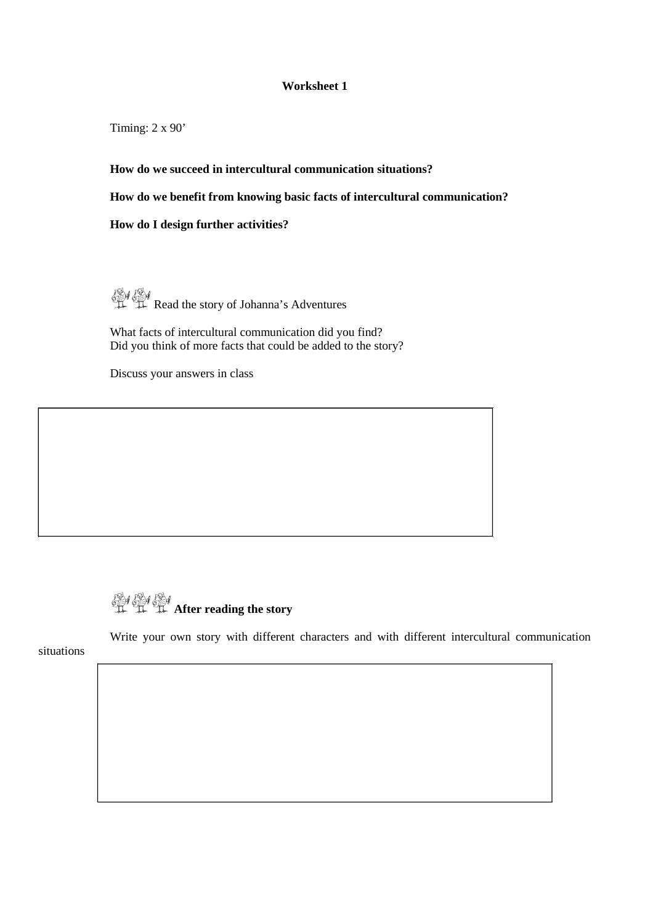#### **Worksheet 1**

Timing: 2 x 90'

**How do we succeed in intercultural communication situations?**

**How do we benefit from knowing basic facts of intercultural communication?**

**How do I design further activities?**

 $\mathbb{R}$  Read the story of Johanna's Adventures

What facts of intercultural communication did you find? Did you think of more facts that could be added to the story?

Discuss your answers in class



Write your own story with different characters and with different intercultural communication situations